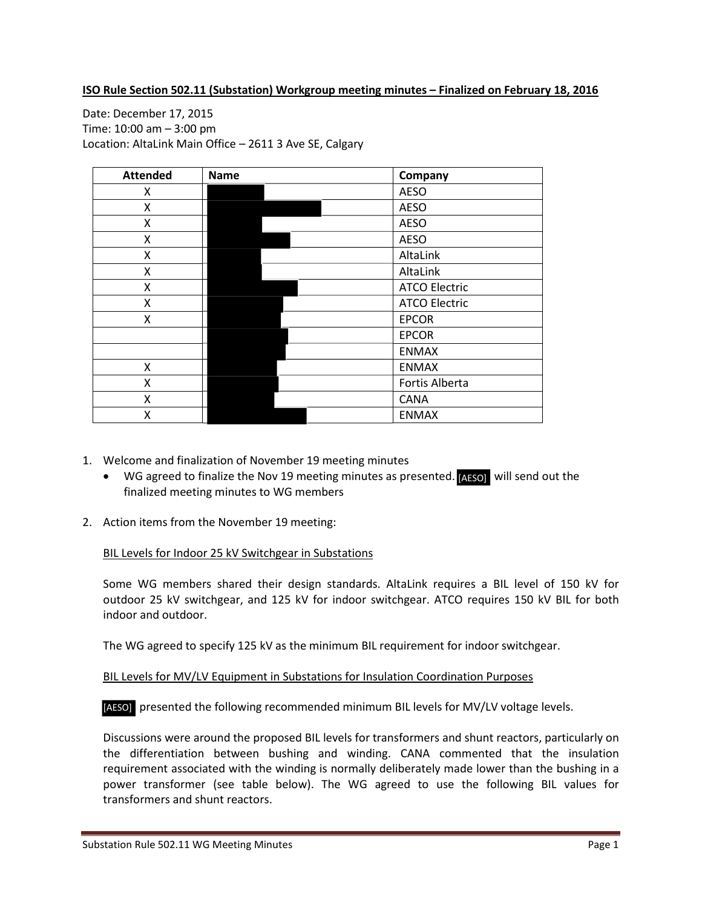### **ISO Rule Section 502.11 (Substation) Workgroup meeting minutes – Finalized on February 18, 2016**

Date: December 17, 2015 Time: 10:00 am – 3:00 pm Location: AltaLink Main Office – 2611 3 Ave SE, Calgary

| <b>Attended</b> | <b>Name</b> | Company              |  |
|-----------------|-------------|----------------------|--|
| X               |             | <b>AESO</b>          |  |
| x               |             | <b>AESO</b>          |  |
| Χ               |             | <b>AESO</b>          |  |
| x               |             | <b>AESO</b>          |  |
| x               |             | AltaLink             |  |
| Χ               |             | AltaLink             |  |
| x               |             | <b>ATCO Electric</b> |  |
| Χ               |             | <b>ATCO Electric</b> |  |
| Χ               |             | <b>EPCOR</b>         |  |
|                 |             | <b>EPCOR</b>         |  |
|                 |             | <b>ENMAX</b>         |  |
| X               |             | <b>ENMAX</b>         |  |
| X               |             | Fortis Alberta       |  |
| Χ               |             | CANA                 |  |
| Χ               |             | <b>ENMAX</b>         |  |

- 1. Welcome and finalization of November 19 meeting minutes
	- WG agreed to finalize the Nov 19 meeting minutes as presented. [AESO] will send out the finalized meeting minutes to WG members
- 2. Action items from the November 19 meeting:

#### BIL Levels for Indoor 25 kV Switchgear in Substations

Some WG members shared their design standards. AltaLink requires a BIL level of 150 kV for outdoor 25 kV switchgear, and 125 kV for indoor switchgear. ATCO requires 150 kV BIL for both indoor and outdoor.

The WG agreed to specify 125 kV as the minimum BIL requirement for indoor switchgear.

## BIL Levels for MV/LV Equipment in Substations for Insulation Coordination Purposes

[AESO] presented the following recommended minimum BIL levels for MV/LV voltage levels.

Discussions were around the proposed BIL levels for transformers and shunt reactors, particularly on the differentiation between bushing and winding. CANA commented that the insulation requirement associated with the winding is normally deliberately made lower than the bushing in a power transformer (see table below). The WG agreed to use the following BIL values for transformers and shunt reactors.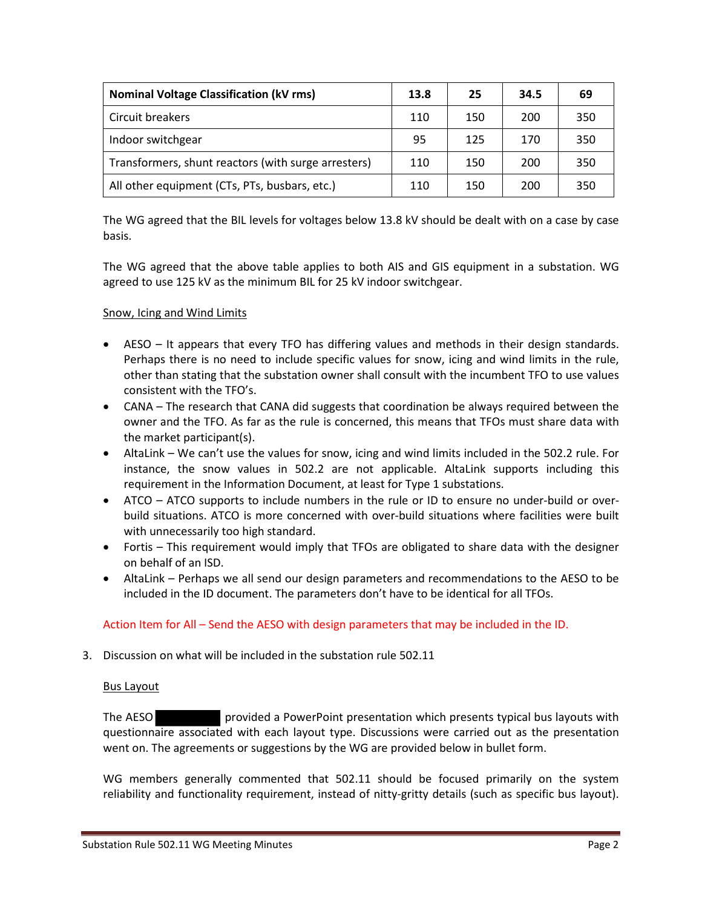| <b>Nominal Voltage Classification (kV rms)</b>      | 13.8 | 25  | 34.5 | 69  |
|-----------------------------------------------------|------|-----|------|-----|
| Circuit breakers                                    | 110  | 150 | 200  | 350 |
| Indoor switchgear                                   | 95   | 125 | 170  | 350 |
| Transformers, shunt reactors (with surge arresters) | 110  | 150 | 200  | 350 |
| All other equipment (CTs, PTs, busbars, etc.)       | 110  | 150 | 200  | 350 |

The WG agreed that the BIL levels for voltages below 13.8 kV should be dealt with on a case by case basis.

The WG agreed that the above table applies to both AIS and GIS equipment in a substation. WG agreed to use 125 kV as the minimum BIL for 25 kV indoor switchgear.

## Snow, Icing and Wind Limits

- AESO It appears that every TFO has differing values and methods in their design standards. Perhaps there is no need to include specific values for snow, icing and wind limits in the rule, other than stating that the substation owner shall consult with the incumbent TFO to use values consistent with the TFO's.
- CANA The research that CANA did suggests that coordination be always required between the owner and the TFO. As far as the rule is concerned, this means that TFOs must share data with the market participant(s).
- AltaLink We can't use the values for snow, icing and wind limits included in the 502.2 rule. For instance, the snow values in 502.2 are not applicable. AltaLink supports including this requirement in the Information Document, at least for Type 1 substations.
- ATCO ATCO supports to include numbers in the rule or ID to ensure no under-build or overbuild situations. ATCO is more concerned with over-build situations where facilities were built with unnecessarily too high standard.
- Fortis This requirement would imply that TFOs are obligated to share data with the designer on behalf of an ISD.
- AltaLink Perhaps we all send our design parameters and recommendations to the AESO to be included in the ID document. The parameters don't have to be identical for all TFOs.

# Action Item for All – Send the AESO with design parameters that may be included in the ID.

3. Discussion on what will be included in the substation rule 502.11

## Bus Layout

The AESO provided a PowerPoint presentation which presents typical bus layouts with questionnaire associated with each layout type. Discussions were carried out as the presentation went on. The agreements or suggestions by the WG are provided below in bullet form.

WG members generally commented that 502.11 should be focused primarily on the system reliability and functionality requirement, instead of nitty-gritty details (such as specific bus layout).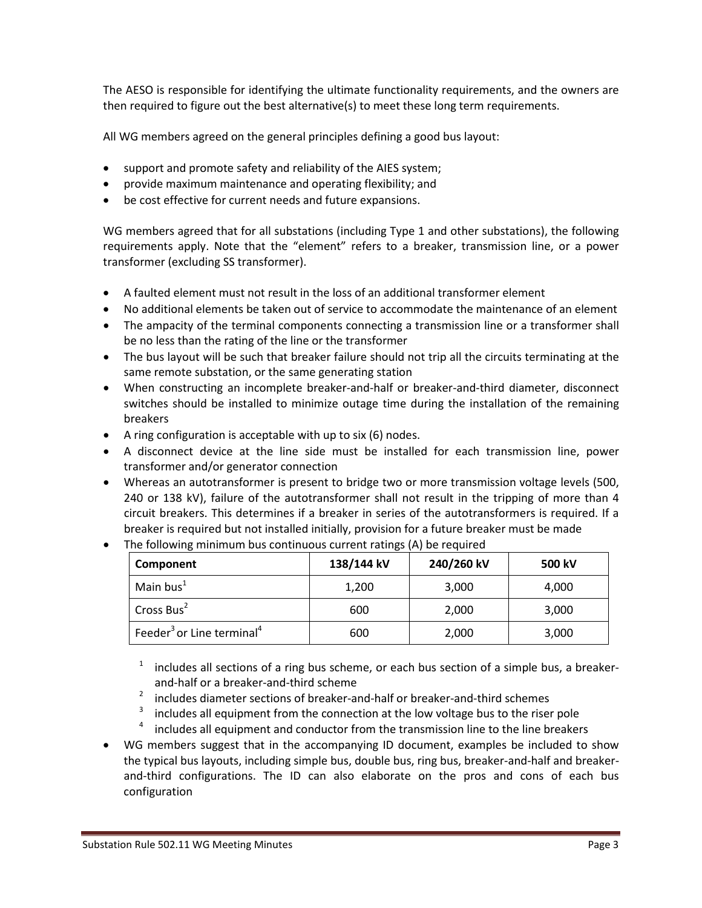The AESO is responsible for identifying the ultimate functionality requirements, and the owners are then required to figure out the best alternative(s) to meet these long term requirements.

All WG members agreed on the general principles defining a good bus layout:

- support and promote safety and reliability of the AIES system;
- provide maximum maintenance and operating flexibility; and
- be cost effective for current needs and future expansions.

WG members agreed that for all substations (including Type 1 and other substations), the following requirements apply. Note that the "element" refers to a breaker, transmission line, or a power transformer (excluding SS transformer).

- A faulted element must not result in the loss of an additional transformer element
- No additional elements be taken out of service to accommodate the maintenance of an element
- The ampacity of the terminal components connecting a transmission line or a transformer shall be no less than the rating of the line or the transformer
- The bus layout will be such that breaker failure should not trip all the circuits terminating at the same remote substation, or the same generating station
- When constructing an incomplete breaker-and-half or breaker-and-third diameter, disconnect switches should be installed to minimize outage time during the installation of the remaining breakers
- A ring configuration is acceptable with up to six (6) nodes.
- A disconnect device at the line side must be installed for each transmission line, power transformer and/or generator connection
- Whereas an autotransformer is present to bridge two or more transmission voltage levels (500, 240 or 138 kV), failure of the autotransformer shall not result in the tripping of more than 4 circuit breakers. This determines if a breaker in series of the autotransformers is required. If a breaker is required but not installed initially, provision for a future breaker must be made
- The following minimum bus continuous current ratings (A) be required

| Component                                         | 138/144 kV | 240/260 kV | 500 kV |
|---------------------------------------------------|------------|------------|--------|
| Main bus $1$                                      | 1,200      | 3,000      | 4,000  |
| Cross Bus <sup>2</sup>                            | 600        | 2,000      | 3,000  |
| Feeder <sup>3</sup> or Line terminal <sup>4</sup> | 600        | 2,000      | 3,000  |

includes all sections of a ring bus scheme, or each bus section of a simple bus, a breakerand-half or a breaker-and-third scheme

- <sup>2</sup> includes diameter sections of breaker-and-half or breaker-and-third schemes
- includes all equipment from the connection at the low voltage bus to the riser pole
- includes all equipment and conductor from the transmission line to the line breakers
- WG members suggest that in the accompanying ID document, examples be included to show the typical bus layouts, including simple bus, double bus, ring bus, breaker-and-half and breakerand-third configurations. The ID can also elaborate on the pros and cons of each bus configuration